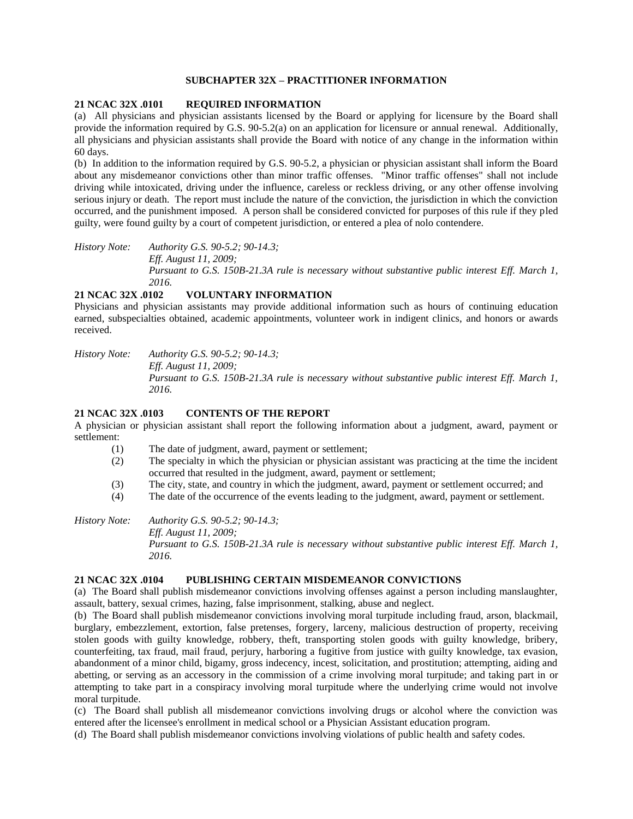# **SUBCHAPTER 32X – PRACTITIONER INFORMATION**

### **21 NCAC 32X .0101 REQUIRED INFORMATION**

(a) All physicians and physician assistants licensed by the Board or applying for licensure by the Board shall provide the information required by G.S. 90-5.2(a) on an application for licensure or annual renewal. Additionally, all physicians and physician assistants shall provide the Board with notice of any change in the information within 60 days.

(b) In addition to the information required by G.S. 90-5.2, a physician or physician assistant shall inform the Board about any misdemeanor convictions other than minor traffic offenses. "Minor traffic offenses" shall not include driving while intoxicated, driving under the influence, careless or reckless driving, or any other offense involving serious injury or death. The report must include the nature of the conviction, the jurisdiction in which the conviction occurred, and the punishment imposed. A person shall be considered convicted for purposes of this rule if they pled guilty, were found guilty by a court of competent jurisdiction, or entered a plea of nolo contendere.

*History Note: Authority G.S. 90-5.2; 90-14.3; Eff. August 11, 2009; Pursuant to G.S. 150B-21.3A rule is necessary without substantive public interest Eff. March 1, 2016.*

### **21 NCAC 32X .0102 VOLUNTARY INFORMATION**

Physicians and physician assistants may provide additional information such as hours of continuing education earned, subspecialties obtained, academic appointments, volunteer work in indigent clinics, and honors or awards received.

*History Note: Authority G.S. 90-5.2; 90-14.3; Eff. August 11, 2009; Pursuant to G.S. 150B-21.3A rule is necessary without substantive public interest Eff. March 1, 2016.*

# **21 NCAC 32X .0103 CONTENTS OF THE REPORT**

A physician or physician assistant shall report the following information about a judgment, award, payment or settlement:

- (1) The date of judgment, award, payment or settlement;
- (2) The specialty in which the physician or physician assistant was practicing at the time the incident occurred that resulted in the judgment, award, payment or settlement;
- (3) The city, state, and country in which the judgment, award, payment or settlement occurred; and
- (4) The date of the occurrence of the events leading to the judgment, award, payment or settlement.

*History Note: Authority G.S. 90-5.2; 90-14.3; Eff. August 11, 2009; Pursuant to G.S. 150B-21.3A rule is necessary without substantive public interest Eff. March 1, 2016.*

### **21 NCAC 32X .0104 PUBLISHING CERTAIN MISDEMEANOR CONVICTIONS**

(a) The Board shall publish misdemeanor convictions involving offenses against a person including manslaughter, assault, battery, sexual crimes, hazing, false imprisonment, stalking, abuse and neglect.

(b) The Board shall publish misdemeanor convictions involving moral turpitude including fraud, arson, blackmail, burglary, embezzlement, extortion, false pretenses, forgery, larceny, malicious destruction of property, receiving stolen goods with guilty knowledge, robbery, theft, transporting stolen goods with guilty knowledge, bribery, counterfeiting, tax fraud, mail fraud, perjury, harboring a fugitive from justice with guilty knowledge, tax evasion, abandonment of a minor child, bigamy, gross indecency, incest, solicitation, and prostitution; attempting, aiding and abetting, or serving as an accessory in the commission of a crime involving moral turpitude; and taking part in or attempting to take part in a conspiracy involving moral turpitude where the underlying crime would not involve moral turpitude.

(c) The Board shall publish all misdemeanor convictions involving drugs or alcohol where the conviction was entered after the licensee's enrollment in medical school or a Physician Assistant education program.

(d) The Board shall publish misdemeanor convictions involving violations of public health and safety codes.